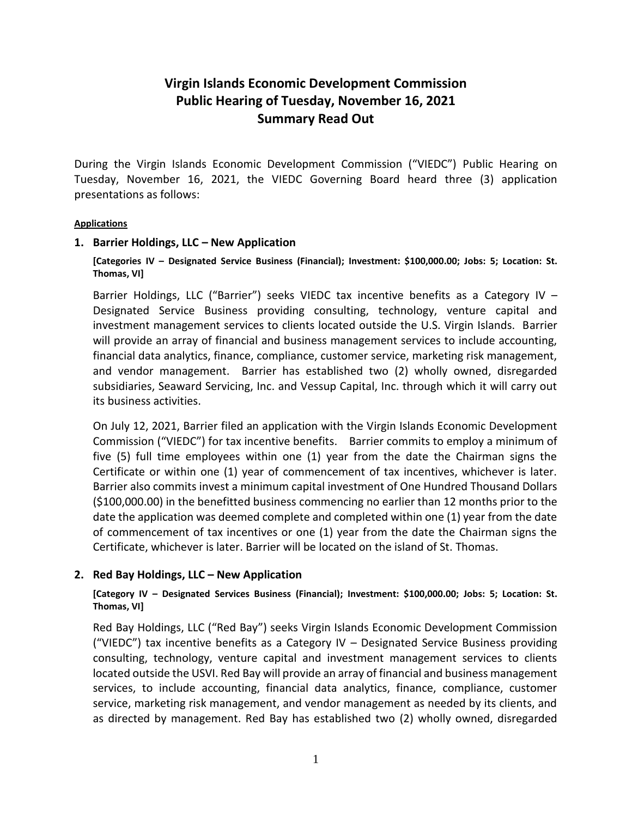# **Virgin Islands Economic Development Commission Public Hearing of Tuesday, November 16, 2021 Summary Read Out**

During the Virgin Islands Economic Development Commission ("VIEDC") Public Hearing on Tuesday, November 16, 2021, the VIEDC Governing Board heard three (3) application presentations as follows:

#### **Applications**

### **1. Barrier Holdings, LLC – New Application**

**[Categories IV – Designated Service Business (Financial); Investment: \$100,000.00; Jobs: 5; Location: St. Thomas, VI]**

Barrier Holdings, LLC ("Barrier") seeks VIEDC tax incentive benefits as a Category IV – Designated Service Business providing consulting, technology, venture capital and investment management services to clients located outside the U.S. Virgin Islands. Barrier will provide an array of financial and business management services to include accounting, financial data analytics, finance, compliance, customer service, marketing risk management, and vendor management. Barrier has established two (2) wholly owned, disregarded subsidiaries, Seaward Servicing, Inc. and Vessup Capital, Inc. through which it will carry out its business activities.

On July 12, 2021, Barrier filed an application with the Virgin Islands Economic Development Commission ("VIEDC") for tax incentive benefits. Barrier commits to employ a minimum of five (5) full time employees within one (1) year from the date the Chairman signs the Certificate or within one (1) year of commencement of tax incentives, whichever is later. Barrier also commits invest a minimum capital investment of One Hundred Thousand Dollars (\$100,000.00) in the benefitted business commencing no earlier than 12 months prior to the date the application was deemed complete and completed within one (1) year from the date of commencement of tax incentives or one (1) year from the date the Chairman signs the Certificate, whichever is later. Barrier will be located on the island of St. Thomas.

### **2. Red Bay Holdings, LLC – New Application**

**[Category IV – Designated Services Business (Financial); Investment: \$100,000.00; Jobs: 5; Location: St. Thomas, VI]**

Red Bay Holdings, LLC ("Red Bay") seeks Virgin Islands Economic Development Commission ("VIEDC") tax incentive benefits as a Category IV – Designated Service Business providing consulting, technology, venture capital and investment management services to clients located outside the USVI. Red Bay will provide an array of financial and business management services, to include accounting, financial data analytics, finance, compliance, customer service, marketing risk management, and vendor management as needed by its clients, and as directed by management. Red Bay has established two (2) wholly owned, disregarded